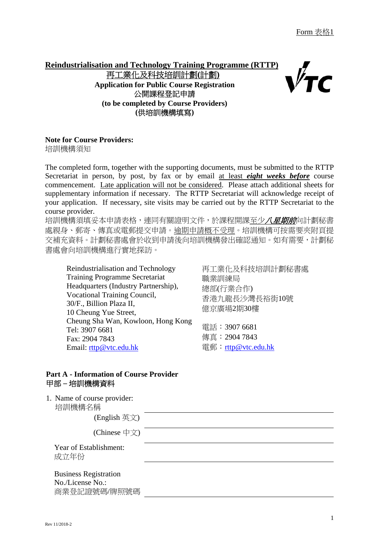# **Reindustrialisation and Technology Training Programme (RTTP)**  再工業化及科技培訓計劃**(**計劃**) Application for Public Course Registration**  公開課程登記申請 **(to be completed by Course Providers) (**供培訓機構填寫**)**

### **Note for Course Providers:**

培訓機構須知

The completed form, together with the supporting documents, must be submitted to the RTTP Secretariat in person, by post, by fax or by email at least *eight weeks before* course commencement. Late application will not be considered. Please attach additional sheets for supplementary information if necessary. The RTTP Secretariat will acknowledge receipt of your application. If necessary, site visits may be carried out by the RTTP Secretariat to the course provider.

培訓機構須填妥本申請表格,連同有關證明文件,於課程開課至少*八星期前*向計劃秘書 處親身、郵寄、傳真或電郵提交申請。逾期申請概不受理。培訓機構可按需要夾附頁提 交補充資料。計劃秘書處會於收到申請後向培訓機構發出確認通知。如有需要,計劃秘 書處會向培訓機構進行實地探訪。

Reindustrialisation and Technology Training Programme Secretariat Headquarters (Industry Partnership), Vocational Training Council, 30/F., Billion Plaza II, 10 Cheung Yue Street, Cheung Sha Wan, Kowloon, Hong Kong Tel: 3907 6681 Fax: 2904 7843 Email: rttp@vtc.edu.hk

再工業化及科技培訓計劃秘書處 職業訓練局 總部(行業合作) 香港九龍長沙灣長裕街10號 億京廣場2期30樓

電話:3907 6681 傳真:2904 7843 雷郵: rttp@vtc.edu.hk

### **Part A - Information of Course Provider**  甲部 **–** 培訓機構資料

1. Name of course provider: 培訓機構名稱

(English 英文)

(Chinese 中文)

 Year of Establishment: 成立年份

 Business Registration No./License No.: 商業登記證號碼/牌照號碼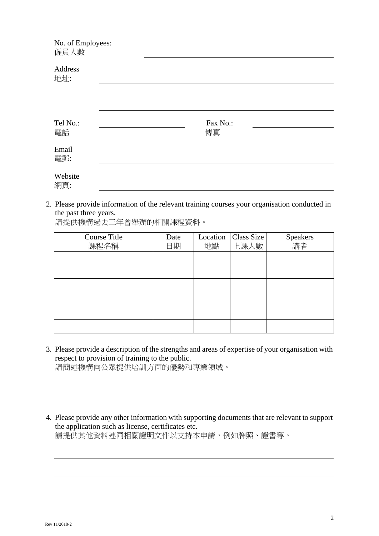| No. of Employees:<br>僱員人數 |                |  |
|---------------------------|----------------|--|
| Address<br>地址:            |                |  |
|                           |                |  |
| Tel No.:<br>電話            | Fax No.:<br>傳真 |  |
| Email<br>電郵:              |                |  |
| Website<br>網頁:            |                |  |

2. Please provide information of the relevant training courses your organisation conducted in the past three years.

請提供機構過去三年曾舉辦的相關課程資料。

| <b>Course Title</b><br>課程名稱 | Date<br>日期 | Location<br>地點 | Class Size<br>上課人數 | Speakers<br>講者 |
|-----------------------------|------------|----------------|--------------------|----------------|
|                             |            |                |                    |                |
|                             |            |                |                    |                |
|                             |            |                |                    |                |
|                             |            |                |                    |                |
|                             |            |                |                    |                |
|                             |            |                |                    |                |

- 3. Please provide a description of the strengths and areas of expertise of your organisation with respect to provision of training to the public. 請簡述機構向公眾提供培訓方面的優勢和專業領域。
- 4. Please provide any other information with supporting documents that are relevant to support the application such as license, certificates etc. 請提供其他資料連同相關證明文件以支持本申請,例如牌照、證書等。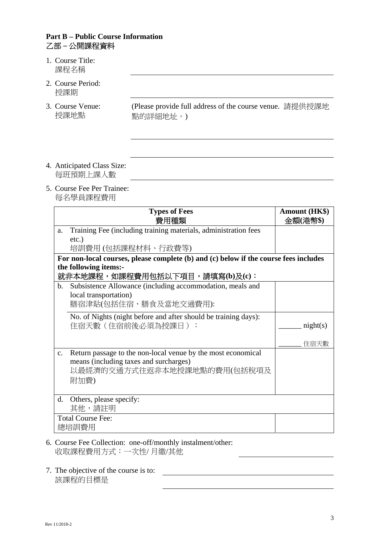### **Part B – Public Course Information**  乙部 **–** 公開課程資料

- 1. Course Title: 課程名稱
- 2. Course Period: 授課期
- 3. Course Venue: 授課地點

(Please provide full address of the course venue. 請提供授課地 點的詳細地址。)

- 4. Anticipated Class Size: 每班預期上課人數
- 5. Course Fee Per Trainee: 每名學員課程費用

|                | <b>Types of Fees</b><br>費用種類                                                          | <b>Amount (HK\$)</b><br>金額(港幣\$) |
|----------------|---------------------------------------------------------------------------------------|----------------------------------|
| a.             | Training Fee (including training materials, administration fees                       |                                  |
|                | $etc.$ )                                                                              |                                  |
|                | 培訓費用 (包括課程材料、行政費等)                                                                    |                                  |
|                | For non-local courses, please complete (b) and (c) below if the course fees includes  |                                  |
|                | the following items:-<br>就非本地課程,如課程費用包括以下項目,請填寫(b)及(c):                               |                                  |
|                | b. Subsistence Allowance (including accommodation, meals and<br>local transportation) |                                  |
|                | 膳宿津貼(包括住宿、膳食及當地交通費用):                                                                 |                                  |
|                | No. of Nights (night before and after should be training days):<br>住宿天數 (住宿前後必須為授課日): | night(s)                         |
|                |                                                                                       | 住宿天數                             |
| $\mathbf{c}$ . | Return passage to the non-local venue by the most economical                          |                                  |
|                | means (including taxes and surcharges)                                                |                                  |
|                | 以最經濟的交通方式往返非本地授課地點的費用(包括稅項及                                                           |                                  |
|                | 附加費)                                                                                  |                                  |
| d.             | Others, please specify:                                                               |                                  |
|                | 其他,請註明                                                                                |                                  |
|                | <b>Total Course Fee:</b>                                                              |                                  |
|                | 總培訓費用                                                                                 |                                  |

<u>and the contract of the contract of the contract of the contract of the contract of the contract of the contract of the contract of the contract of the contract of the contract of the contract of the contract of the contr</u>

- 6. Course Fee Collection: one-off/monthly instalment/other: 收取課程費用方式:一次性/ 月繳/其他
- 7. The objective of the course is to: 該課程的目標是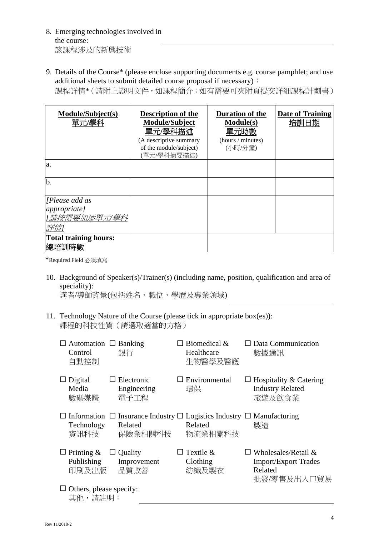- 8. Emerging technologies involved in the course: 該課程涉及的新興技術
- 9. Details of the Course\* (please enclose supporting documents e.g. course pamphlet; and use additional sheets to submit detailed course proposal if necessary):

課程詳情\*(請附上證明文件,如課程簡介;如有需要可夾附頁提交詳細課程計劃書)

| Module/Subject(s)<br>單元/學科   | <b>Description of the</b><br><b>Module/Subject</b><br>單元/學科描述<br>(A descriptive summary<br>of the module/subject) | Duration of the<br><b>Module(s)</b><br>單元時數<br>(hours / minutes)<br>(小時/分鐘) | Date of Training<br>培訓日期 |
|------------------------------|-------------------------------------------------------------------------------------------------------------------|-----------------------------------------------------------------------------|--------------------------|
|                              | (單元/學科摘要描述)                                                                                                       |                                                                             |                          |
| a.                           |                                                                                                                   |                                                                             |                          |
| b.                           |                                                                                                                   |                                                                             |                          |
| [Please add as]              |                                                                                                                   |                                                                             |                          |
| <i>appropriate]</i>          |                                                                                                                   |                                                                             |                          |
| [請按需要加添單元/學科                 |                                                                                                                   |                                                                             |                          |
| 詳情1                          |                                                                                                                   |                                                                             |                          |
| <b>Total training hours:</b> |                                                                                                                   |                                                                             |                          |
| 總培訓時數                        |                                                                                                                   |                                                                             |                          |

\*Required Field 必須填寫

10. Background of Speaker(s)/Trainer(s) (including name, position, qualification and area of speciality):

講者/導師背景(包括姓名、職位、學歷及專業領域)

11. Technology Nature of the Course (please tick in appropriate box(es)): 課程的科技性質(請選取適當的方格)

| $\Box$ Automation $\Box$ Banking<br>Control<br>自動控制 | 銀行                                       | $\Box$ Biomedical &<br>Healthcare<br>生物醫學及醫護                                                                      | $\Box$ Data Communication<br>數據通訊                                                   |
|-----------------------------------------------------|------------------------------------------|-------------------------------------------------------------------------------------------------------------------|-------------------------------------------------------------------------------------|
| $\Box$ Digital<br>Media<br>數碼媒體                     | $\Box$ Electronic<br>Engineering<br>電子工程 | $\Box$ Environmental<br>環保                                                                                        | $\Box$ Hospitality & Catering<br><b>Industry Related</b><br>旅遊及飲食業                  |
| Technology<br>資訊科技                                  | Related<br>保險業相關科技                       | $\Box$ Information $\Box$ Insurance Industry $\Box$ Logistics Industry $\Box$ Manufacturing<br>Related<br>物流業相關科技 | 製造                                                                                  |
| $\Box$ Printing &<br>Publishing<br>印刷及出版            | $\Box$ Quality<br>Improvement<br>品質改善    | Textile &<br>Clothing<br>紡織及製衣                                                                                    | $\Box$ Wholesales/Retail &<br><b>Import/Export Trades</b><br>Related<br>批發/零售及出入口貿易 |
| $\Box$ Others, please specify:<br>其他,請註明:           |                                          |                                                                                                                   |                                                                                     |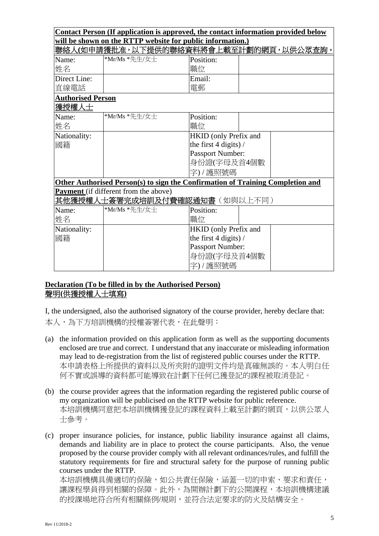|                               | Contact Person (If application is approved, the contact information provided below |                       |  |  |
|-------------------------------|------------------------------------------------------------------------------------|-----------------------|--|--|
|                               | will be shown on the RTTP website for public information.)                         |                       |  |  |
|                               | 聯絡人(如申請獲批准,以下提供的聯絡資料將會上載至計劃的網頁,以供公眾查詢。                                             |                       |  |  |
| Name:                         | *Mr/Ms *先生/女士                                                                      | Position:             |  |  |
| 姓名                            |                                                                                    | 職位                    |  |  |
| Direct Line:                  |                                                                                    | Email:                |  |  |
| 直線電話                          |                                                                                    | 電郵                    |  |  |
| <b>Authorised Person</b>      |                                                                                    |                       |  |  |
| 獲授權人士                         |                                                                                    |                       |  |  |
| Name:                         | *Mr/Ms *先生/女士                                                                      | Position:             |  |  |
| 姓名                            |                                                                                    | 職位                    |  |  |
| Nationality:                  |                                                                                    | HKID (only Prefix and |  |  |
| the first $4$ digits) /<br>國籍 |                                                                                    |                       |  |  |
|                               |                                                                                    | Passport Number:      |  |  |
|                               |                                                                                    | 身份證(字母及首4個數           |  |  |
|                               |                                                                                    | 字)/護照號碼               |  |  |
|                               | Other Authorised Person(s) to sign the Confirmation of Training Completion and     |                       |  |  |
|                               | <b>Payment</b> (if different from the above)                                       |                       |  |  |
|                               | <b>其他獲授權人士簽署完成培訓及付費確認通知書</b> (如與以上不同)                                              |                       |  |  |
| Name:                         | *Mr/Ms *先生/女士                                                                      | Position:             |  |  |
| 姓名                            |                                                                                    | 職位                    |  |  |
| Nationality:                  |                                                                                    | HKID (only Prefix and |  |  |
| the first $4$ digits) /<br>國籍 |                                                                                    |                       |  |  |
|                               |                                                                                    | Passport Number:      |  |  |
|                               |                                                                                    | 身份證(字母及首4個數           |  |  |
|                               |                                                                                    | 字)/護照號碼               |  |  |

## **Declaration (To be filled in by the Authorised Person)**  聲明**(**供獲授權人士填寫**)**

I, the undersigned, also the authorised signatory of the course provider, hereby declare that: 本人,為下方培訓機構的授權簽署代表,在此聲明:

- (a) the information provided on this application form as well as the supporting documents enclosed are true and correct. I understand that any inaccurate or misleading information may lead to de-registration from the list of registered public courses under the RTTP. 本申請表格上所提供的資料以及所夾附的證明文件均是真確無誤的。本人明白任 何不實或誤導的資料都可能導致在計劃下任何已獲登記的課程被取消登記。
- (b) the course provider agrees that the information regarding the registered public course of my organization will be publicised on the RTTP website for public reference. 本培訓機構同意把本培訓機構獲登記的課程資料上載至計劃的網頁,以供公眾人 士參考。
- (c) proper insurance policies, for instance, public liability insurance against all claims, demands and liability are in place to protect the course participants. Also, the venue proposed by the course provider comply with all relevant ordinances/rules, and fulfill the statutory requirements for fire and structural safety for the purpose of running public courses under the RTTP. 本培訓機構具備適切的保險,如公共責任保險,涵蓋一切的申索、要求和責任, 讓課程學員得到相關的保障。此外,為開辦計劃下的公開課程,本培訓機構建議

的授課場地符合所有相關條例/規則,並符合法定要求的防火及結構安全。